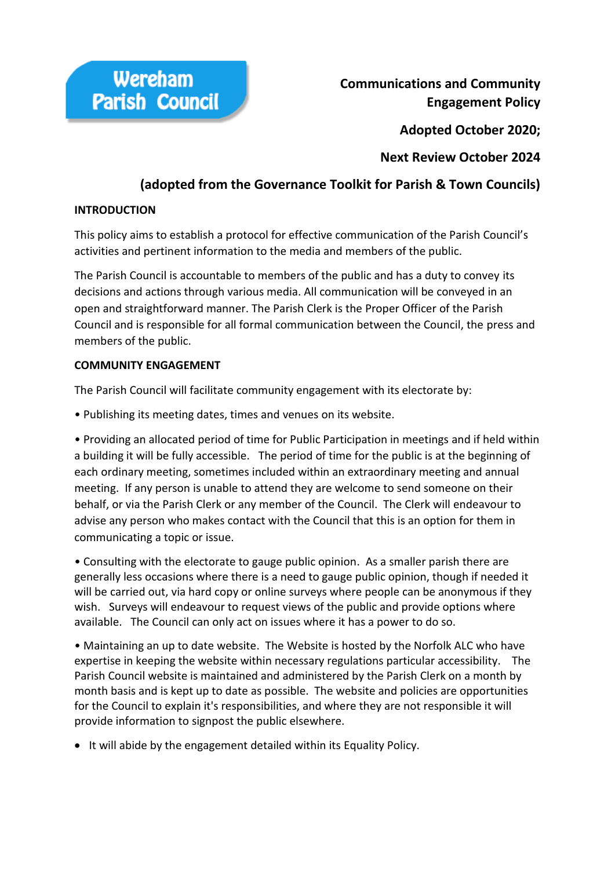

**Communications and Community Engagement Policy** 

**Adopted October 2020;**

**Next Review October 2024**

# **(adopted from the Governance Toolkit for Parish & Town Councils)**

# **INTRODUCTION**

This policy aims to establish a protocol for effective communication of the Parish Council's activities and pertinent information to the media and members of the public.

The Parish Council is accountable to members of the public and has a duty to convey its decisions and actions through various media. All communication will be conveyed in an open and straightforward manner. The Parish Clerk is the Proper Officer of the Parish Council and is responsible for all formal communication between the Council, the press and members of the public.

# **COMMUNITY ENGAGEMENT**

The Parish Council will facilitate community engagement with its electorate by:

• Publishing its meeting dates, times and venues on its website.

• Providing an allocated period of time for Public Participation in meetings and if held within a building it will be fully accessible. The period of time for the public is at the beginning of each ordinary meeting, sometimes included within an extraordinary meeting and annual meeting. If any person is unable to attend they are welcome to send someone on their behalf, or via the Parish Clerk or any member of the Council. The Clerk will endeavour to advise any person who makes contact with the Council that this is an option for them in communicating a topic or issue.

• Consulting with the electorate to gauge public opinion. As a smaller parish there are generally less occasions where there is a need to gauge public opinion, though if needed it will be carried out, via hard copy or online surveys where people can be anonymous if they wish. Surveys will endeavour to request views of the public and provide options where available. The Council can only act on issues where it has a power to do so.

• Maintaining an up to date website. The Website is hosted by the Norfolk ALC who have expertise in keeping the website within necessary regulations particular accessibility. The Parish Council website is maintained and administered by the Parish Clerk on a month by month basis and is kept up to date as possible. The website and policies are opportunities for the Council to explain it's responsibilities, and where they are not responsible it will provide information to signpost the public elsewhere.

• It will abide by the engagement detailed within its Equality Policy.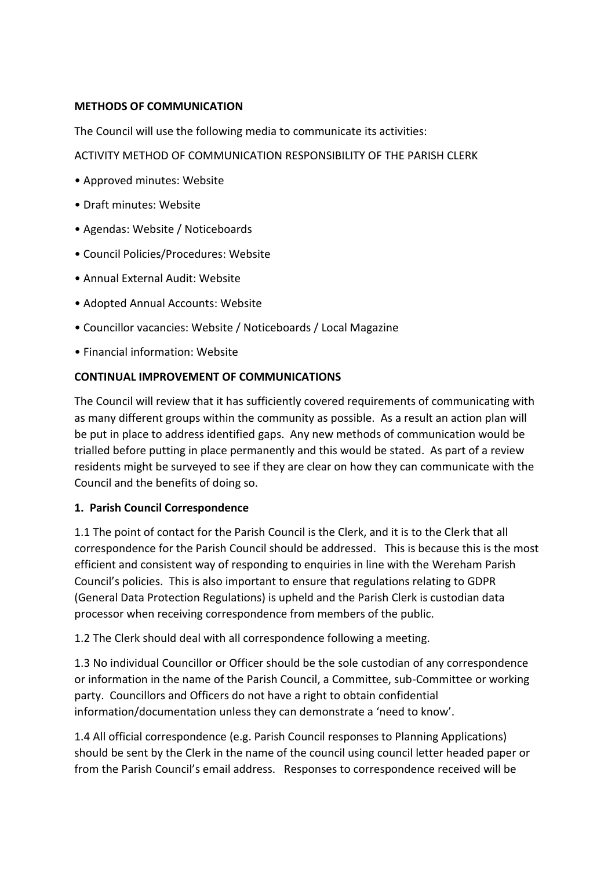# **METHODS OF COMMUNICATION**

The Council will use the following media to communicate its activities:

# ACTIVITY METHOD OF COMMUNICATION RESPONSIBILITY OF THE PARISH CLERK

- Approved minutes: Website
- Draft minutes: Website
- Agendas: Website / Noticeboards
- Council Policies/Procedures: Website
- Annual External Audit: Website
- Adopted Annual Accounts: Website
- Councillor vacancies: Website / Noticeboards / Local Magazine
- Financial information: Website

### **CONTINUAL IMPROVEMENT OF COMMUNICATIONS**

The Council will review that it has sufficiently covered requirements of communicating with as many different groups within the community as possible. As a result an action plan will be put in place to address identified gaps. Any new methods of communication would be trialled before putting in place permanently and this would be stated. As part of a review residents might be surveyed to see if they are clear on how they can communicate with the Council and the benefits of doing so.

#### **1. Parish Council Correspondence**

1.1 The point of contact for the Parish Council is the Clerk, and it is to the Clerk that all correspondence for the Parish Council should be addressed. This is because this is the most efficient and consistent way of responding to enquiries in line with the Wereham Parish Council's policies. This is also important to ensure that regulations relating to GDPR (General Data Protection Regulations) is upheld and the Parish Clerk is custodian data processor when receiving correspondence from members of the public.

1.2 The Clerk should deal with all correspondence following a meeting.

1.3 No individual Councillor or Officer should be the sole custodian of any correspondence or information in the name of the Parish Council, a Committee, sub-Committee or working party. Councillors and Officers do not have a right to obtain confidential information/documentation unless they can demonstrate a 'need to know'.

1.4 All official correspondence (e.g. Parish Council responses to Planning Applications) should be sent by the Clerk in the name of the council using council letter headed paper or from the Parish Council's email address. Responses to correspondence received will be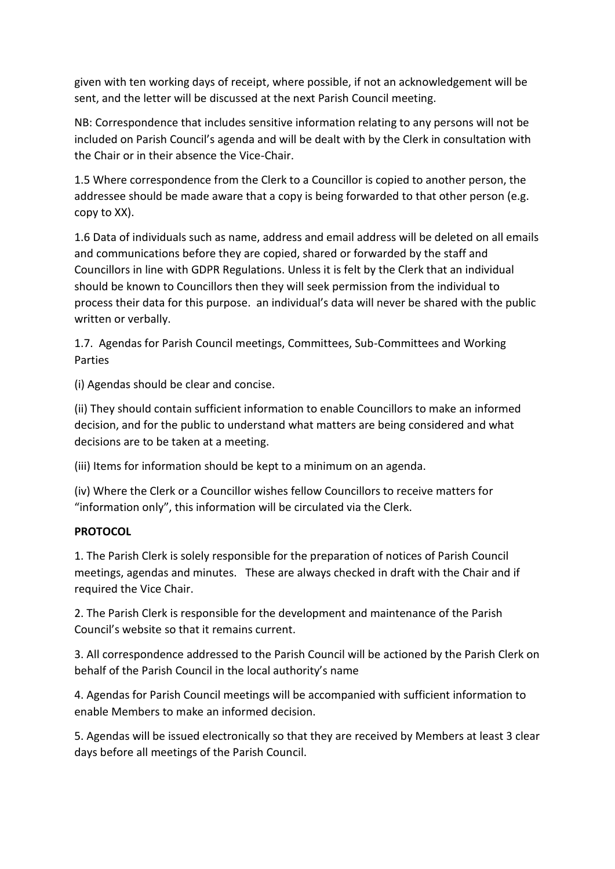given with ten working days of receipt, where possible, if not an acknowledgement will be sent, and the letter will be discussed at the next Parish Council meeting.

NB: Correspondence that includes sensitive information relating to any persons will not be included on Parish Council's agenda and will be dealt with by the Clerk in consultation with the Chair or in their absence the Vice-Chair.

1.5 Where correspondence from the Clerk to a Councillor is copied to another person, the addressee should be made aware that a copy is being forwarded to that other person (e.g. copy to XX).

1.6 Data of individuals such as name, address and email address will be deleted on all emails and communications before they are copied, shared or forwarded by the staff and Councillors in line with GDPR Regulations. Unless it is felt by the Clerk that an individual should be known to Councillors then they will seek permission from the individual to process their data for this purpose. an individual's data will never be shared with the public written or verbally.

1.7. Agendas for Parish Council meetings, Committees, Sub-Committees and Working Parties

(i) Agendas should be clear and concise.

(ii) They should contain sufficient information to enable Councillors to make an informed decision, and for the public to understand what matters are being considered and what decisions are to be taken at a meeting.

(iii) Items for information should be kept to a minimum on an agenda.

(iv) Where the Clerk or a Councillor wishes fellow Councillors to receive matters for "information only", this information will be circulated via the Clerk.

# **PROTOCOL**

1. The Parish Clerk is solely responsible for the preparation of notices of Parish Council meetings, agendas and minutes. These are always checked in draft with the Chair and if required the Vice Chair.

2. The Parish Clerk is responsible for the development and maintenance of the Parish Council's website so that it remains current.

3. All correspondence addressed to the Parish Council will be actioned by the Parish Clerk on behalf of the Parish Council in the local authority's name

4. Agendas for Parish Council meetings will be accompanied with sufficient information to enable Members to make an informed decision.

5. Agendas will be issued electronically so that they are received by Members at least 3 clear days before all meetings of the Parish Council.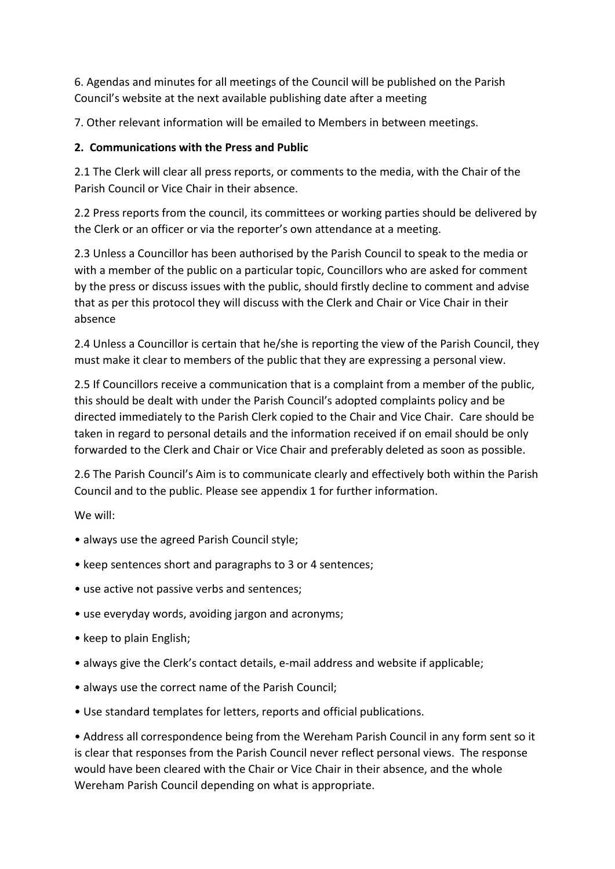6. Agendas and minutes for all meetings of the Council will be published on the Parish Council's website at the next available publishing date after a meeting

7. Other relevant information will be emailed to Members in between meetings.

# **2. Communications with the Press and Public**

2.1 The Clerk will clear all press reports, or comments to the media, with the Chair of the Parish Council or Vice Chair in their absence.

2.2 Press reports from the council, its committees or working parties should be delivered by the Clerk or an officer or via the reporter's own attendance at a meeting.

2.3 Unless a Councillor has been authorised by the Parish Council to speak to the media or with a member of the public on a particular topic, Councillors who are asked for comment by the press or discuss issues with the public, should firstly decline to comment and advise that as per this protocol they will discuss with the Clerk and Chair or Vice Chair in their absence

2.4 Unless a Councillor is certain that he/she is reporting the view of the Parish Council, they must make it clear to members of the public that they are expressing a personal view.

2.5 If Councillors receive a communication that is a complaint from a member of the public, this should be dealt with under the Parish Council's adopted complaints policy and be directed immediately to the Parish Clerk copied to the Chair and Vice Chair. Care should be taken in regard to personal details and the information received if on email should be only forwarded to the Clerk and Chair or Vice Chair and preferably deleted as soon as possible.

2.6 The Parish Council's Aim is to communicate clearly and effectively both within the Parish Council and to the public. Please see appendix 1 for further information.

We will:

- always use the agreed Parish Council style;
- keep sentences short and paragraphs to 3 or 4 sentences;
- use active not passive verbs and sentences;
- use everyday words, avoiding jargon and acronyms;
- keep to plain English;
- always give the Clerk's contact details, e-mail address and website if applicable;
- always use the correct name of the Parish Council;
- Use standard templates for letters, reports and official publications.

• Address all correspondence being from the Wereham Parish Council in any form sent so it is clear that responses from the Parish Council never reflect personal views. The response would have been cleared with the Chair or Vice Chair in their absence, and the whole Wereham Parish Council depending on what is appropriate.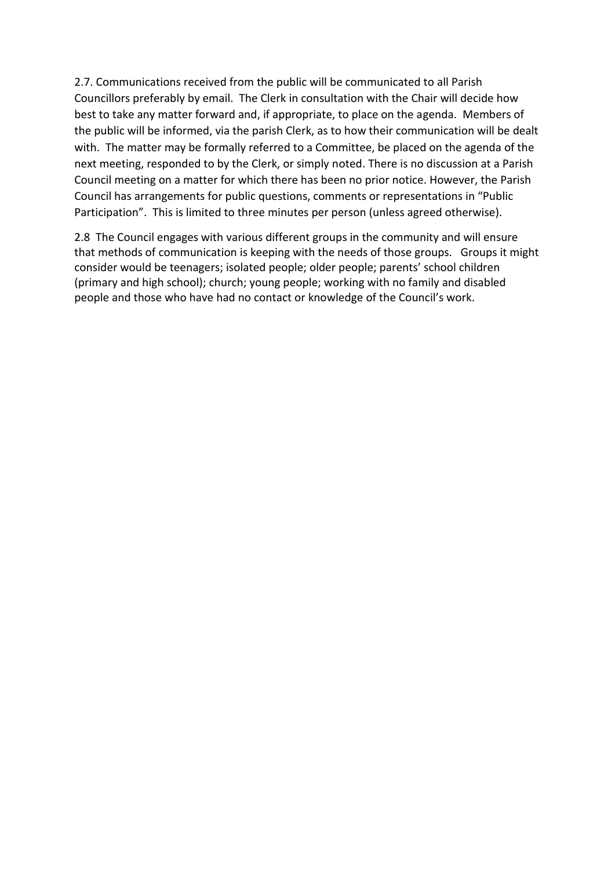2.7. Communications received from the public will be communicated to all Parish Councillors preferably by email. The Clerk in consultation with the Chair will decide how best to take any matter forward and, if appropriate, to place on the agenda. Members of the public will be informed, via the parish Clerk, as to how their communication will be dealt with. The matter may be formally referred to a Committee, be placed on the agenda of the next meeting, responded to by the Clerk, or simply noted. There is no discussion at a Parish Council meeting on a matter for which there has been no prior notice. However, the Parish Council has arrangements for public questions, comments or representations in "Public Participation". This is limited to three minutes per person (unless agreed otherwise).

2.8 The Council engages with various different groups in the community and will ensure that methods of communication is keeping with the needs of those groups. Groups it might consider would be teenagers; isolated people; older people; parents' school children (primary and high school); church; young people; working with no family and disabled people and those who have had no contact or knowledge of the Council's work.